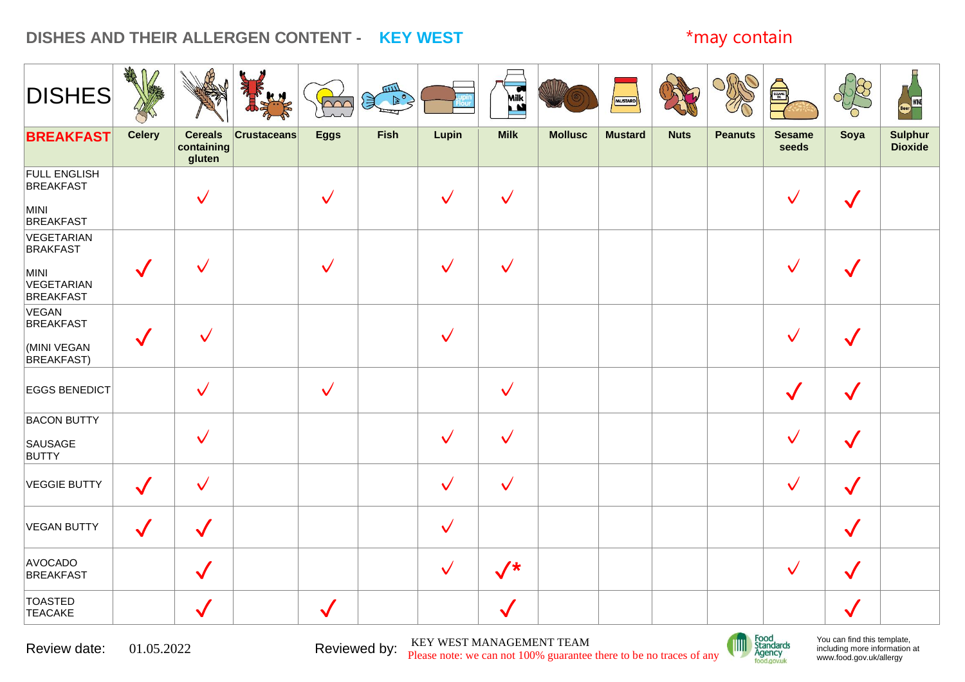# **DISHES AND THEIR ALLERGEN CONTENT - KEY WEST** \*may contain

| <b>DISHES</b>                                                           | AR            |                                        | <b>Report</b><br>JU | $\sim$       | $\frac{1}{2}$ |              | Milk           |                | MUSTARD        |             |                | SESANT                 |              | WINE<br>Beer)                    |
|-------------------------------------------------------------------------|---------------|----------------------------------------|---------------------|--------------|---------------|--------------|----------------|----------------|----------------|-------------|----------------|------------------------|--------------|----------------------------------|
| <b>BREAKFAST</b>                                                        | <b>Celery</b> | <b>Cereals</b><br>containing<br>gluten | <b>Crustaceans</b>  | <b>Eggs</b>  | <b>Fish</b>   | Lupin        | <b>Milk</b>    | <b>Mollusc</b> | <b>Mustard</b> | <b>Nuts</b> | <b>Peanuts</b> | <b>Sesame</b><br>seeds | Soya         | <b>Sulphur</b><br><b>Dioxide</b> |
| <b>FULL ENGLISH</b><br><b>BREAKFAST</b><br>MINI<br><b>BREAKFAST</b>     |               | $\checkmark$                           |                     | $\checkmark$ |               | $\checkmark$ | $\checkmark$   |                |                |             |                | $\checkmark$           |              |                                  |
| VEGETARIAN<br><b>BRAKFAST</b><br>MINI<br>VEGETARIAN<br><b>BREAKFAST</b> |               |                                        |                     |              |               | $\checkmark$ | $\checkmark$   |                |                |             |                |                        |              |                                  |
| VEGAN<br><b>BREAKFAST</b><br>(MINI VEGAN<br><b>BREAKFAST)</b>           |               | $\checkmark$                           |                     |              |               | $\checkmark$ |                |                |                |             |                |                        |              |                                  |
| <b>EGGS BENEDICT</b>                                                    |               | $\checkmark$                           |                     | $\checkmark$ |               |              | $\checkmark$   |                |                |             |                | $\checkmark$           |              |                                  |
| <b>BACON BUTTY</b><br>SAUSAGE<br><b>BUTTY</b>                           |               | $\checkmark$                           |                     |              |               | $\checkmark$ | $\checkmark$   |                |                |             |                | $\checkmark$           |              |                                  |
| <b>VEGGIE BUTTY</b>                                                     | $\checkmark$  | $\checkmark$                           |                     |              |               | $\checkmark$ | $\checkmark$   |                |                |             |                | $\checkmark$           | $\checkmark$ |                                  |
| VEGAN BUTTY                                                             | $\checkmark$  | $\checkmark$                           |                     |              |               | $\checkmark$ |                |                |                |             |                |                        | $\checkmark$ |                                  |
| AVOCADO<br><b>BREAKFAST</b>                                             |               | $\checkmark$                           |                     |              |               | $\checkmark$ | $\sqrt{\star}$ |                |                |             |                | $\checkmark$           | $\checkmark$ |                                  |
| <b>TOASTED</b><br><b>TEACAKE</b>                                        |               | $\checkmark$                           |                     | $\checkmark$ |               |              |                |                |                |             |                |                        |              |                                  |

Review date: 01.05.2022 Reviewed by: KEY WEST MANAGEMENT TEAM Please note: we can not 100% guarantee there to be no traces of any

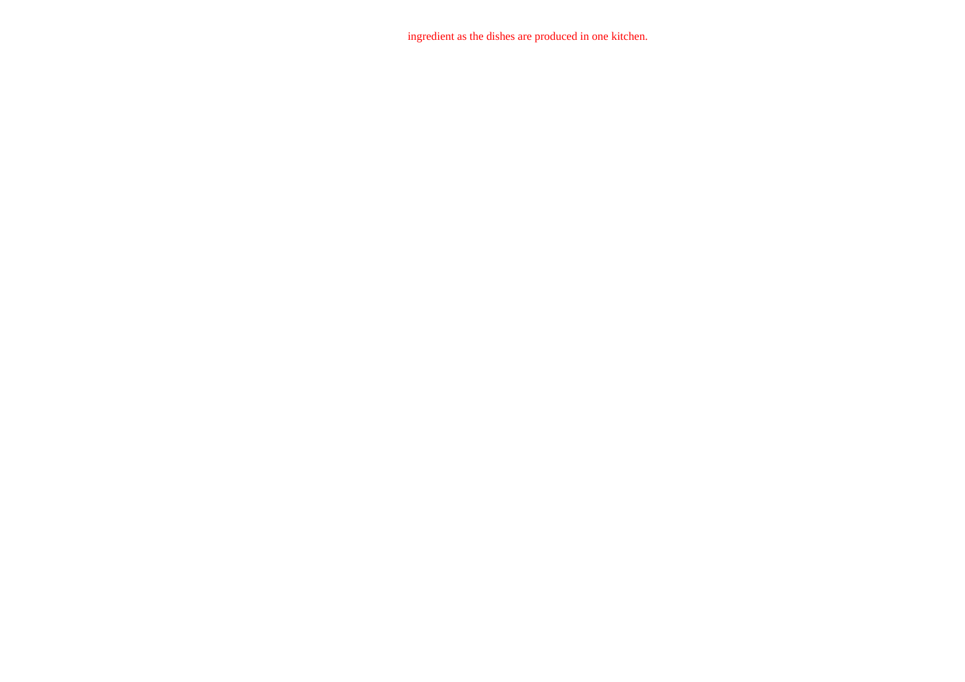ingredient as the dishes are produced in one kitchen.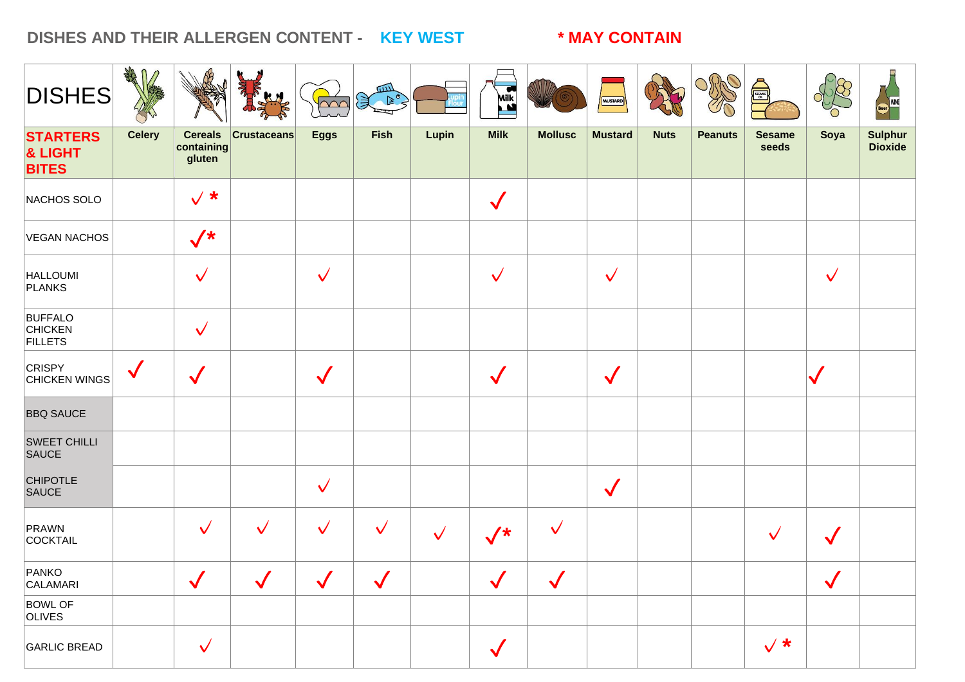### DISHES AND THEIR ALLERGEN CONTENT - KEY WEST **\* MAY CONTAIN**

| <b>DISHES</b>                                      | <b>SHAR</b>   |                                        |                              | $\sim$                       | للللا<br>$\mathbb{R}^{\circ}$<br>溑 |              | Milk<br>Ľ                    |                              | <b>MUSTARD</b> |             |                | SESAME                 |                              | Beer WINE                        |
|----------------------------------------------------|---------------|----------------------------------------|------------------------------|------------------------------|------------------------------------|--------------|------------------------------|------------------------------|----------------|-------------|----------------|------------------------|------------------------------|----------------------------------|
| <b>STARTERS</b><br>& LIGHT<br><b>BITES</b>         | <b>Celery</b> | <b>Cereals</b><br>containing<br>gluten | <b>Crustaceans</b>           | <b>Eggs</b>                  | <b>Fish</b>                        | Lupin        | <b>Milk</b>                  | <b>Mollusc</b>               | <b>Mustard</b> | <b>Nuts</b> | <b>Peanuts</b> | <b>Sesame</b><br>seeds | Soya                         | <b>Sulphur</b><br><b>Dioxide</b> |
| NACHOS SOLO                                        |               | $\sqrt{*}$                             |                              |                              |                                    |              | $\checkmark$                 |                              |                |             |                |                        |                              |                                  |
| VEGAN NACHOS                                       |               | $\sqrt{*}$                             |                              |                              |                                    |              |                              |                              |                |             |                |                        |                              |                                  |
| <b>HALLOUMI</b><br>PLANKS                          |               | $\checkmark$                           |                              | $\checkmark$                 |                                    |              | $\checkmark$                 |                              | $\sqrt{}$      |             |                |                        | $\checkmark$                 |                                  |
| <b>BUFFALO</b><br><b>CHICKEN</b><br><b>FILLETS</b> |               | $\checkmark$                           |                              |                              |                                    |              |                              |                              |                |             |                |                        |                              |                                  |
| <b>CRISPY</b><br>CHICKEN WINGS                     | $\checkmark$  |                                        |                              |                              |                                    |              |                              |                              | $\checkmark$   |             |                |                        |                              |                                  |
| <b>BBQ SAUCE</b>                                   |               |                                        |                              |                              |                                    |              |                              |                              |                |             |                |                        |                              |                                  |
| <b>SWEET CHILLI</b><br><b>SAUCE</b>                |               |                                        |                              |                              |                                    |              |                              |                              |                |             |                |                        |                              |                                  |
| <b>CHIPOTLE</b><br><b>SAUCE</b>                    |               |                                        |                              | $\checkmark$                 |                                    |              |                              |                              | $\sqrt{}$      |             |                |                        |                              |                                  |
| PRAWN<br>COCKTAIL                                  |               | $\checkmark$                           | $\checkmark$                 | $\checkmark$                 | $\checkmark$                       | $\checkmark$ | $\sqrt{\star}$               | $\checkmark$                 |                |             |                |                        |                              |                                  |
| PANKO<br>CALAMARI                                  |               | $\mathbf{z}$<br>$\checkmark$           | $\mathbf{z}$<br>$\checkmark$ | $\mathbb{Z}$<br>$\checkmark$ | $\mathbf{z}$<br>$\checkmark$       |              | $\mathbf{z}$<br>$\checkmark$ | $\mathbf{z}$<br>$\checkmark$ |                |             |                |                        | $\mathbf{z}$<br>$\checkmark$ |                                  |
| <b>BOWL OF</b><br><b>OLIVES</b>                    |               |                                        |                              |                              |                                    |              |                              |                              |                |             |                |                        |                              |                                  |
| GARLIC BREAD                                       |               | $\checkmark$                           |                              |                              |                                    |              | $\checkmark$                 |                              |                |             |                | $\sqrt{*}$             |                              |                                  |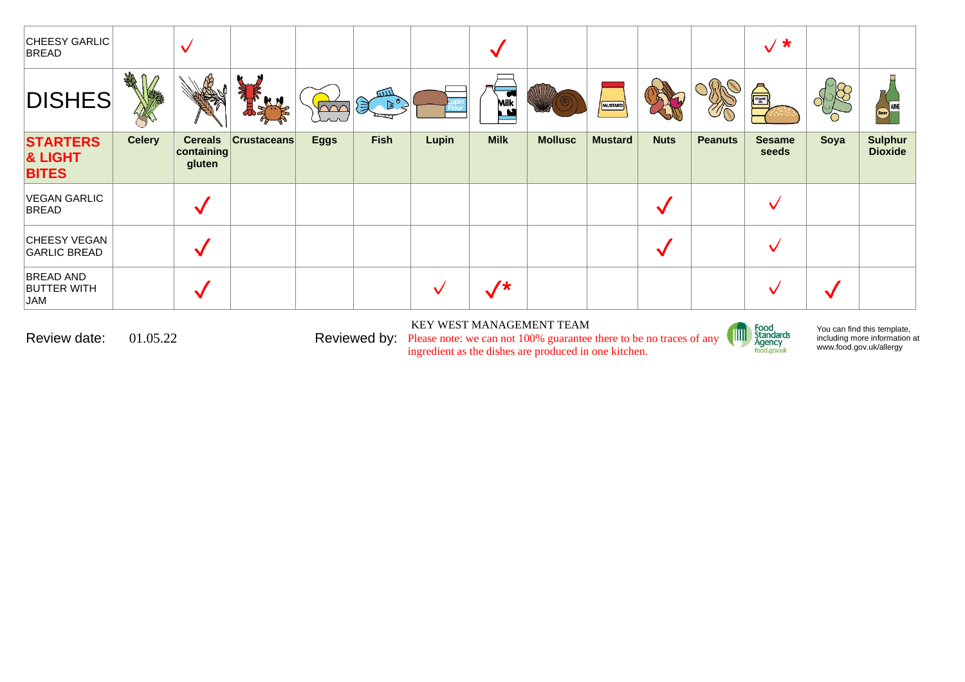| CHEESY GARLIC<br><b>BREAD</b>                 |               | $\checkmark$                           |                    |             |                                    |       |                          |                |                |             |                | $\sqrt{*}$             |      |                                  |
|-----------------------------------------------|---------------|----------------------------------------|--------------------|-------------|------------------------------------|-------|--------------------------|----------------|----------------|-------------|----------------|------------------------|------|----------------------------------|
| <b>DISHES</b>                                 | <b>SHARE</b>  |                                        |                    | $\sim$      | $\overline{u}$<br>$B^{\circ}$<br>溟 |       | $\bullet$<br><b>Milk</b> |                | MUSTARD        |             |                | A                      |      | Beer WNE                         |
| <b>STARTERS</b><br>& LIGHT<br><b>BITES</b>    | <b>Celery</b> | <b>Cereals</b><br>containing<br>gluten | <b>Crustaceans</b> | <b>Eggs</b> | <b>Fish</b>                        | Lupin | <b>Milk</b>              | <b>Mollusc</b> | <b>Mustard</b> | <b>Nuts</b> | <b>Peanuts</b> | <b>Sesame</b><br>seeds | Soya | <b>Sulphur</b><br><b>Dioxide</b> |
| VEGAN GARLIC<br><b>BREAD</b>                  |               |                                        |                    |             |                                    |       |                          |                |                |             |                |                        |      |                                  |
| CHEESY VEGAN<br><b>GARLIC BREAD</b>           |               | W                                      |                    |             |                                    |       |                          |                |                |             |                |                        |      |                                  |
| <b>BREAD AND</b><br><b>BUTTER WITH</b><br>JAM |               |                                        |                    |             |                                    | M     | $/$ *                    |                |                |             |                |                        |      |                                  |

KEY WEST MANAGEMENT TEAM

Review date:  $01.05.22$  Reviewed by: Please note: we can not 100% guarantee there to be no traces of any ingredient as the dishes are produced in one kitchen.



You can find this template, including more information [at](http://www.food.gov.uk/allergy)  [www.food.gov.uk/allergy](http://www.food.gov.uk/allergy)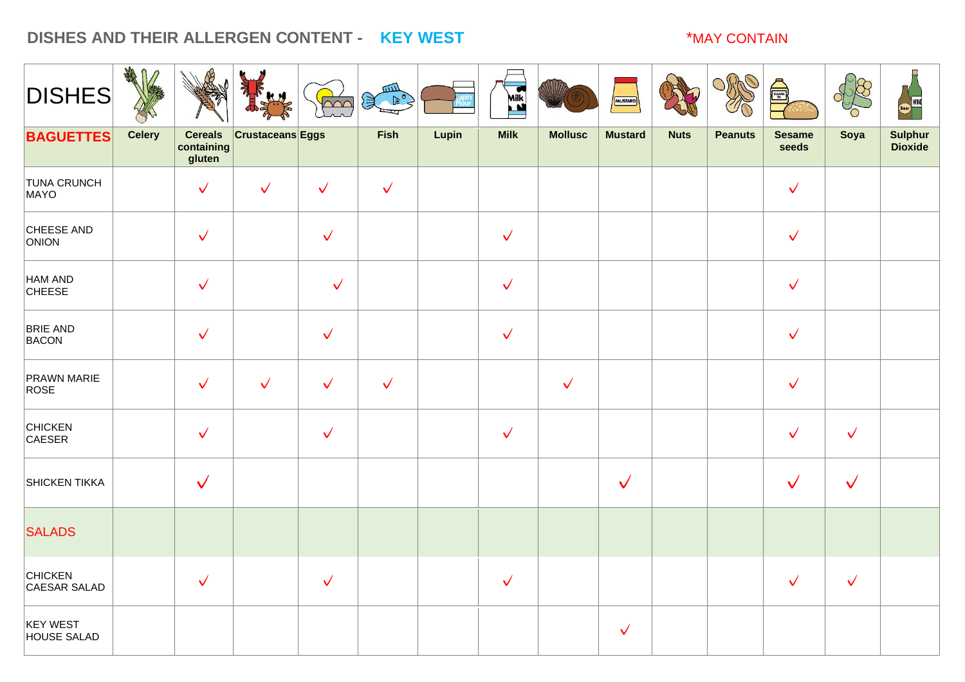### **DISHES AND THEIR ALLERGEN CONTENT - KEY WEST** \*MAY CONTAIN

| <b>DISHES</b>                         | ART<br>$\mathsf{n}$ |                                        |                         | $\sim$       | <b>READER</b> |       | K Nik        |                | MUSTARD        |             |                | SESSION OF             |              | <b>WINE</b>                      |
|---------------------------------------|---------------------|----------------------------------------|-------------------------|--------------|---------------|-------|--------------|----------------|----------------|-------------|----------------|------------------------|--------------|----------------------------------|
| <b>BAGUETTES</b>                      | <b>Celery</b>       | <b>Cereals</b><br>containing<br>gluten | <b>Crustaceans Eggs</b> |              | Fish          | Lupin | <b>Milk</b>  | <b>Mollusc</b> | <b>Mustard</b> | <b>Nuts</b> | <b>Peanuts</b> | <b>Sesame</b><br>seeds | Soya         | <b>Sulphur</b><br><b>Dioxide</b> |
| <b>TUNA CRUNCH</b><br>MAYO            |                     | $\checkmark$                           | $\checkmark$            | $\checkmark$ | $\checkmark$  |       |              |                |                |             |                | $\checkmark$           |              |                                  |
| CHEESE AND<br>ONION                   |                     | $\checkmark$                           |                         | $\checkmark$ |               |       | $\checkmark$ |                |                |             |                | $\checkmark$           |              |                                  |
| HAM AND<br><b>CHEESE</b>              |                     | $\checkmark$                           |                         | $\checkmark$ |               |       | $\checkmark$ |                |                |             |                | $\checkmark$           |              |                                  |
| <b>BRIE AND</b><br>BACON              |                     | $\checkmark$                           |                         | $\checkmark$ |               |       | $\checkmark$ |                |                |             |                | $\checkmark$           |              |                                  |
| <b>PRAWN MARIE</b><br>ROSE            |                     | $\checkmark$                           | $\checkmark$            | $\checkmark$ | $\checkmark$  |       |              | $\checkmark$   |                |             |                | $\checkmark$           |              |                                  |
| <b>CHICKEN</b><br>CAESER              |                     | $\checkmark$                           |                         | $\checkmark$ |               |       | $\checkmark$ |                |                |             |                | $\checkmark$           | $\checkmark$ |                                  |
| <b>SHICKEN TIKKA</b>                  |                     | $\checkmark$                           |                         |              |               |       |              |                | $\checkmark$   |             |                | $\sqrt{}$              | $\checkmark$ |                                  |
| <b>SALADS</b>                         |                     |                                        |                         |              |               |       |              |                |                |             |                |                        |              |                                  |
| <b>CHICKEN</b><br>CAESAR SALAD        |                     | $\checkmark$                           |                         | $\checkmark$ |               |       | $\checkmark$ |                |                |             |                | $\checkmark$           | $\checkmark$ |                                  |
| <b>KEY WEST</b><br><b>HOUSE SALAD</b> |                     |                                        |                         |              |               |       |              |                | $\checkmark$   |             |                |                        |              |                                  |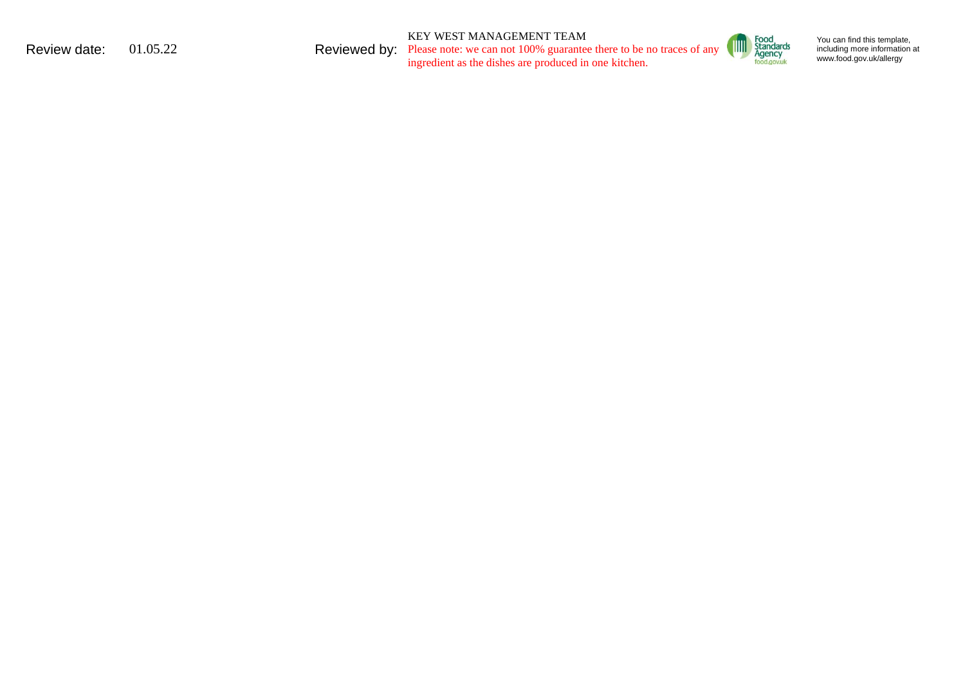KEY WEST MANAGEMENT TEAM

Review date:  $01.05.22$  Reviewed by: Please note: we can not 100% guarantee there to be no traces of any ingredient as the dishes are produced in one kitchen.



You can find this template, including mo re in formation [at](http://www.food.gov.uk/allergy)  ww w . food. g o [v.uk/alle](http://www.food.gov.uk/allergy) rgy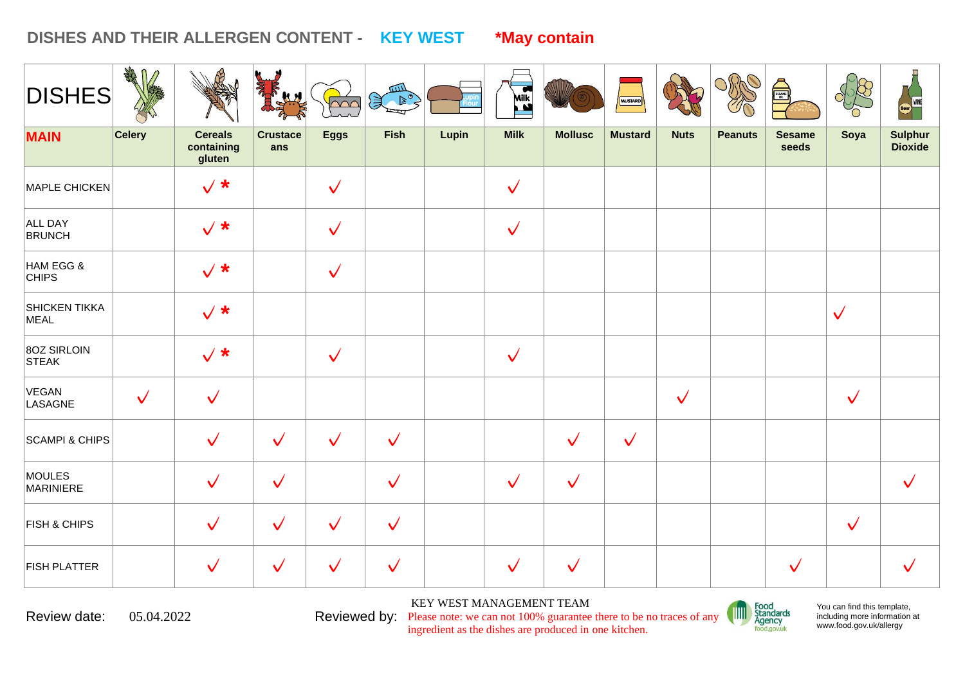### **DISHES AND THEIR ALLERGEN CONTENT - KEY WEST \*May contain**

| <b>DISHES</b>                | AR            |                                        |                        | $\sim$       | 四<br>$\mathcal{F}$ |       | <b>Milk</b><br><b>LM</b> |                | MUSTARD        |              |                | SESANTE                |              | <b>WINE</b>                      |
|------------------------------|---------------|----------------------------------------|------------------------|--------------|--------------------|-------|--------------------------|----------------|----------------|--------------|----------------|------------------------|--------------|----------------------------------|
| <b>MAIN</b>                  | <b>Celery</b> | <b>Cereals</b><br>containing<br>gluten | <b>Crustace</b><br>ans | <b>Eggs</b>  | <b>Fish</b>        | Lupin | <b>Milk</b>              | <b>Mollusc</b> | <b>Mustard</b> | <b>Nuts</b>  | <b>Peanuts</b> | <b>Sesame</b><br>seeds | Soya         | <b>Sulphur</b><br><b>Dioxide</b> |
| MAPLE CHICKEN                |               | $\sqrt{*}$                             |                        | $\checkmark$ |                    |       | $\checkmark$             |                |                |              |                |                        |              |                                  |
| ALL DAY<br><b>BRUNCH</b>     |               | $\sqrt{*}$                             |                        | $\checkmark$ |                    |       | $\checkmark$             |                |                |              |                |                        |              |                                  |
| HAM EGG &<br><b>CHIPS</b>    |               | $\sqrt{*}$                             |                        | $\checkmark$ |                    |       |                          |                |                |              |                |                        |              |                                  |
| <b>SHICKEN TIKKA</b><br>MEAL |               | $\sqrt{*}$                             |                        |              |                    |       |                          |                |                |              |                |                        | $\checkmark$ |                                  |
| 80Z SIRLOIN<br><b>STEAK</b>  |               | $\sqrt{*}$                             |                        | $\checkmark$ |                    |       | $\checkmark$             |                |                |              |                |                        |              |                                  |
| VEGAN<br>LASAGNE             | $\checkmark$  | $\checkmark$                           |                        |              |                    |       |                          |                |                | $\checkmark$ |                |                        | $\checkmark$ |                                  |
| <b>SCAMPI &amp; CHIPS</b>    |               | $\checkmark$                           | $\checkmark$           | $\checkmark$ | $\checkmark$       |       |                          | $\checkmark$   | $\checkmark$   |              |                |                        |              |                                  |
| MOULES<br>MARINIERE          |               | $\checkmark$                           | $\checkmark$           |              | $\checkmark$       |       | $\checkmark$             | $\checkmark$   |                |              |                |                        |              | $\checkmark$                     |
| <b>FISH &amp; CHIPS</b>      |               | $\checkmark$                           | $\checkmark$           | $\checkmark$ | $\checkmark$       |       |                          |                |                |              |                |                        | $\checkmark$ |                                  |
| <b>FISH PLATTER</b>          |               | $\checkmark$                           | $\checkmark$           | $\checkmark$ | $\checkmark$       |       | $\checkmark$             | $\checkmark$   |                |              |                | $\checkmark$           |              |                                  |

Review date:  $05.04.2022$  Reviewed by: Please note: we can not 100% guarantee there to be no traces of any

KEY WEST MANAGEMENT TEAM

ingredient as the dishes are produced in one kitchen.



You can find this template, including more information [at](http://www.food.gov.uk/allergy)  [www.food.gov.uk/allergy](http://www.food.gov.uk/allergy)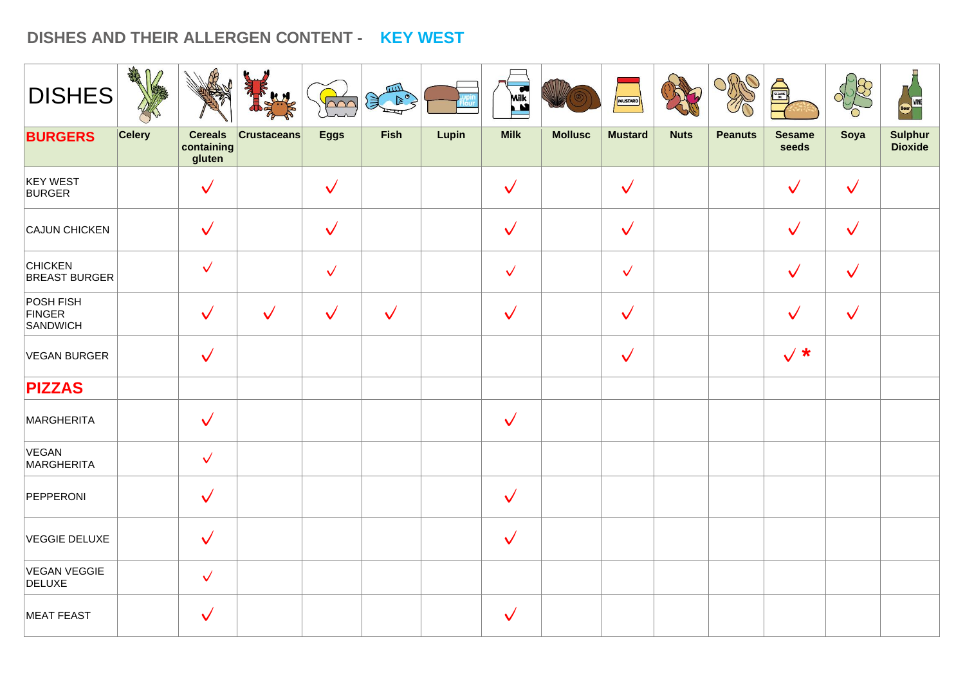## **DISHES AND THEIR ALLERGEN CONTENT - KEY WEST**

| <b>DISHES</b>                          | AR            |                                        | <b>Ky</b>          | poo          | Been         |       | <b>ASSES</b> |                | MUSTARD        |             |                | Å                      |              | <b>WINE</b>        |
|----------------------------------------|---------------|----------------------------------------|--------------------|--------------|--------------|-------|--------------|----------------|----------------|-------------|----------------|------------------------|--------------|--------------------|
| <b>BURGERS</b>                         | <b>Celery</b> | <b>Cereals</b><br>containing<br>gluten | <b>Crustaceans</b> | <b>Eggs</b>  | <b>Fish</b>  | Lupin | <b>Milk</b>  | <b>Mollusc</b> | <b>Mustard</b> | <b>Nuts</b> | <b>Peanuts</b> | <b>Sesame</b><br>seeds | Soya         | Sulphur<br>Dioxide |
| <b>KEY WEST</b><br><b>BURGER</b>       |               | $\checkmark$                           |                    | $\checkmark$ |              |       | $\checkmark$ |                | $\checkmark$   |             |                | $\checkmark$           | $\checkmark$ |                    |
| CAJUN CHICKEN                          |               | $\checkmark$                           |                    | $\checkmark$ |              |       | $\checkmark$ |                | $\checkmark$   |             |                | $\checkmark$           | $\checkmark$ |                    |
| <b>CHICKEN</b><br><b>BREAST BURGER</b> |               | $\checkmark$                           |                    | $\checkmark$ |              |       | $\checkmark$ |                | $\checkmark$   |             |                | $\checkmark$           | $\checkmark$ |                    |
| POSH FISH<br>FINGER<br>SANDWICH        |               | $\checkmark$                           | $\checkmark$       | $\checkmark$ | $\checkmark$ |       | $\checkmark$ |                | $\checkmark$   |             |                | $\checkmark$           | $\checkmark$ |                    |
| <b>VEGAN BURGER</b>                    |               | $\checkmark$                           |                    |              |              |       |              |                | $\checkmark$   |             |                | $\sqrt{*}$             |              |                    |
| <b>PIZZAS</b>                          |               |                                        |                    |              |              |       |              |                |                |             |                |                        |              |                    |
| MARGHERITA                             |               | $\checkmark$                           |                    |              |              |       | $\checkmark$ |                |                |             |                |                        |              |                    |
| VEGAN<br>MARGHERITA                    |               | $\checkmark$                           |                    |              |              |       |              |                |                |             |                |                        |              |                    |
| PEPPERONI                              |               | $\checkmark$                           |                    |              |              |       | $\checkmark$ |                |                |             |                |                        |              |                    |
| <b>VEGGIE DELUXE</b>                   |               | $\checkmark$                           |                    |              |              |       | $\checkmark$ |                |                |             |                |                        |              |                    |
| <b>VEGAN VEGGIE</b><br><b>DELUXE</b>   |               | $\checkmark$                           |                    |              |              |       |              |                |                |             |                |                        |              |                    |
| <b>MEAT FEAST</b>                      |               | $\checkmark$                           |                    |              |              |       | $\checkmark$ |                |                |             |                |                        |              |                    |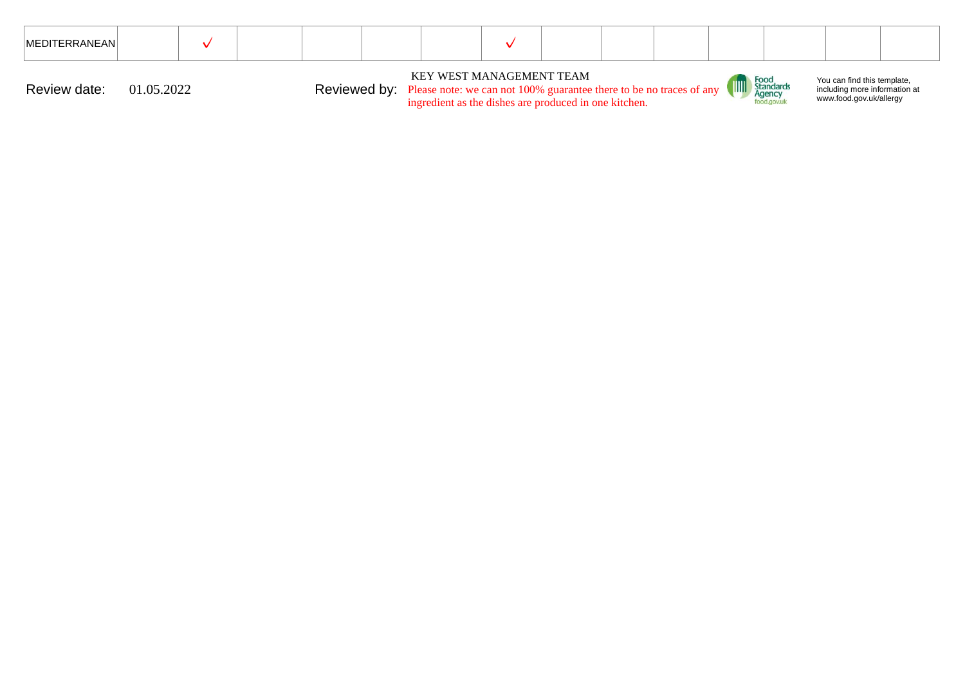| <b>IMEDITERRANEANI</b> |                                                                                                       |  |  |  |  |  |  |                                                                                   |  |                                               |                                                                                         |  |
|------------------------|-------------------------------------------------------------------------------------------------------|--|--|--|--|--|--|-----------------------------------------------------------------------------------|--|-----------------------------------------------|-----------------------------------------------------------------------------------------|--|
| Review date:           | 01.05.2022<br><b>Reviewed by:</b> Please note: we can not 100% guarantee there to be no traces of any |  |  |  |  |  |  | KEY WEST MANAGEMENT TEAM<br>ingredient as the dishes are produced in one kitchen. |  | <b>All Standards</b><br>Agency<br>food.gov.uk | You can find this template,<br>including more information at<br>www.food.gov.uk/allergy |  |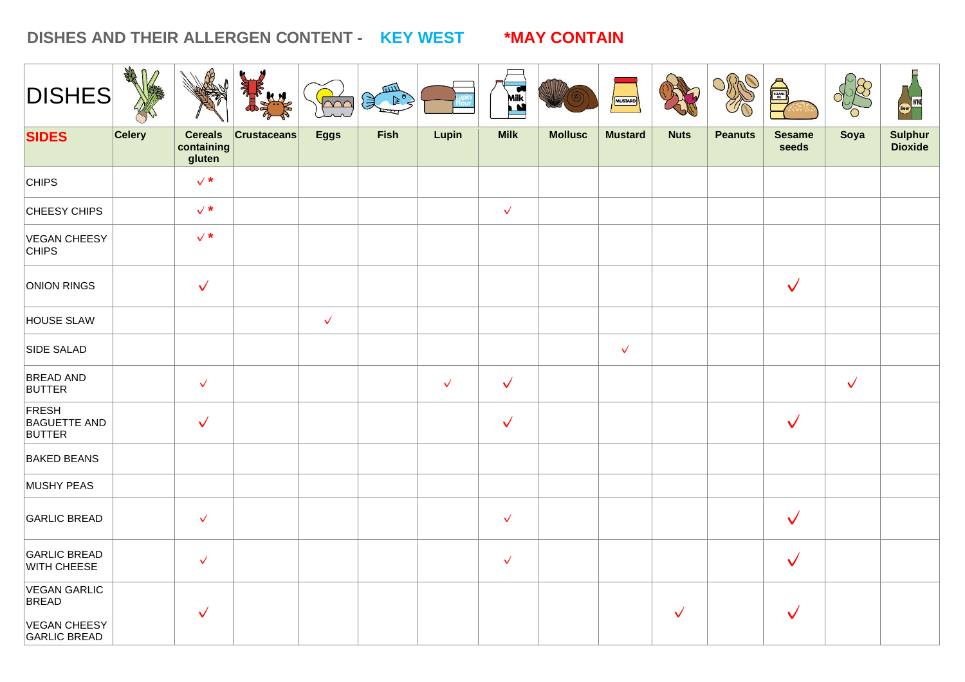### **DISHES AND THEIR ALLERGEN CONTENT - KEY WEST \*MAY CONTAIN**

| <b>DISHES</b>                                                              | ARA<br>$\mathbf{u}$ |                                        |                    | $\sim$       | $\mathbb{R}^3$ |              | Milk         |                | MUSTARD        |              |                | E                      |              |                                  |
|----------------------------------------------------------------------------|---------------------|----------------------------------------|--------------------|--------------|----------------|--------------|--------------|----------------|----------------|--------------|----------------|------------------------|--------------|----------------------------------|
| <b>SIDES</b>                                                               | <b>Celery</b>       | <b>Cereals</b><br>containing<br>gluten | <b>Crustaceans</b> | <b>Eggs</b>  | Fish           | Lupin        | <b>Milk</b>  | <b>Mollusc</b> | <b>Mustard</b> | <b>Nuts</b>  | <b>Peanuts</b> | <b>Sesame</b><br>seeds | Soya         | <b>Sulphur</b><br><b>Dioxide</b> |
| <b>CHIPS</b>                                                               |                     | $\checkmark$ *                         |                    |              |                |              |              |                |                |              |                |                        |              |                                  |
| CHEESY CHIPS                                                               |                     | $\checkmark$ *                         |                    |              |                |              | $\checkmark$ |                |                |              |                |                        |              |                                  |
| VEGAN CHEESY<br><b>CHIPS</b>                                               |                     | $\checkmark$ *                         |                    |              |                |              |              |                |                |              |                |                        |              |                                  |
| ONION RINGS                                                                |                     | $\checkmark$                           |                    |              |                |              |              |                |                |              |                | $\checkmark$           |              |                                  |
| <b>HOUSE SLAW</b>                                                          |                     |                                        |                    | $\checkmark$ |                |              |              |                |                |              |                |                        |              |                                  |
| <b>SIDE SALAD</b>                                                          |                     |                                        |                    |              |                |              |              |                | $\checkmark$   |              |                |                        |              |                                  |
| <b>BREAD AND</b><br><b>BUTTER</b>                                          |                     | $\checkmark$                           |                    |              |                | $\checkmark$ | $\checkmark$ |                |                |              |                |                        | $\checkmark$ |                                  |
| FRESH<br><b>BAGUETTE AND</b><br><b>BUTTER</b>                              |                     | $\checkmark$                           |                    |              |                |              | $\checkmark$ |                |                |              |                | $\checkmark$           |              |                                  |
| <b>BAKED BEANS</b>                                                         |                     |                                        |                    |              |                |              |              |                |                |              |                |                        |              |                                  |
| MUSHY PEAS                                                                 |                     |                                        |                    |              |                |              |              |                |                |              |                |                        |              |                                  |
| <b>GARLIC BREAD</b>                                                        |                     | $\checkmark$                           |                    |              |                |              | $\checkmark$ |                |                |              |                | $\checkmark$           |              |                                  |
| <b>GARLIC BREAD</b><br><b>WITH CHEESE</b>                                  |                     | $\checkmark$                           |                    |              |                |              | $\checkmark$ |                |                |              |                | $\checkmark$           |              |                                  |
| <b>VEGAN GARLIC</b><br><b>BREAD</b><br>VEGAN CHEESY<br><b>GARLIC BREAD</b> |                     | $\checkmark$                           |                    |              |                |              |              |                |                | $\checkmark$ |                | $\checkmark$           |              |                                  |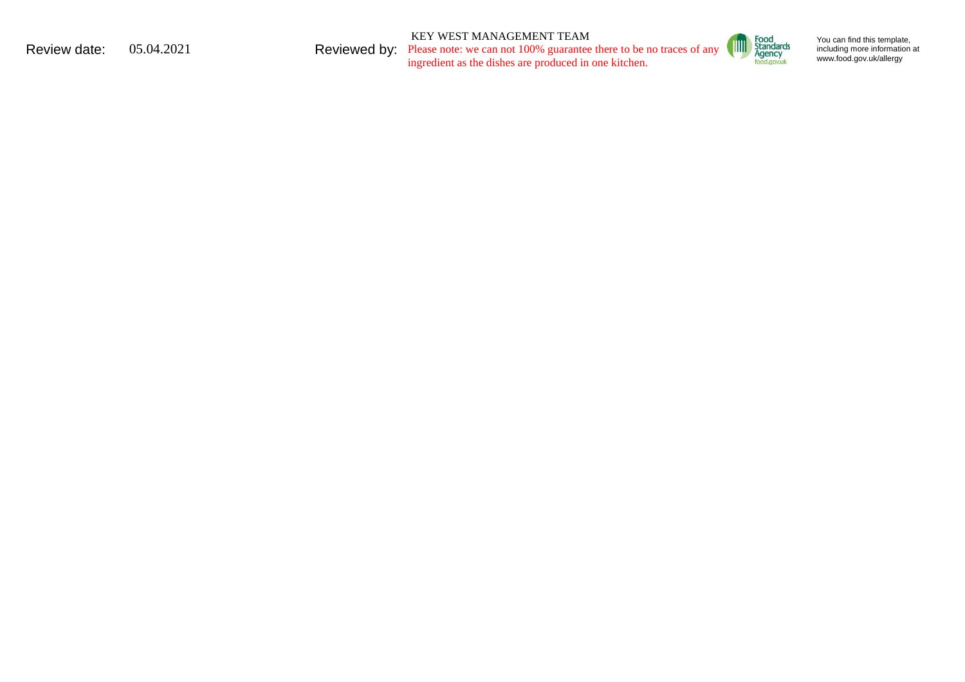KEY WEST MANAGEMENT TEAM

Review date:  $05.04.2021$  Reviewed by: Please note: we can not 100% guarantee there to be no traces of any ingredient as the dishes are produced in one kitchen.



You can find this template, including mo re in formation [at](http://www.food.gov.uk/allergy)  ww w . food. g o [v.uk/alle](http://www.food.gov.uk/allergy) rgy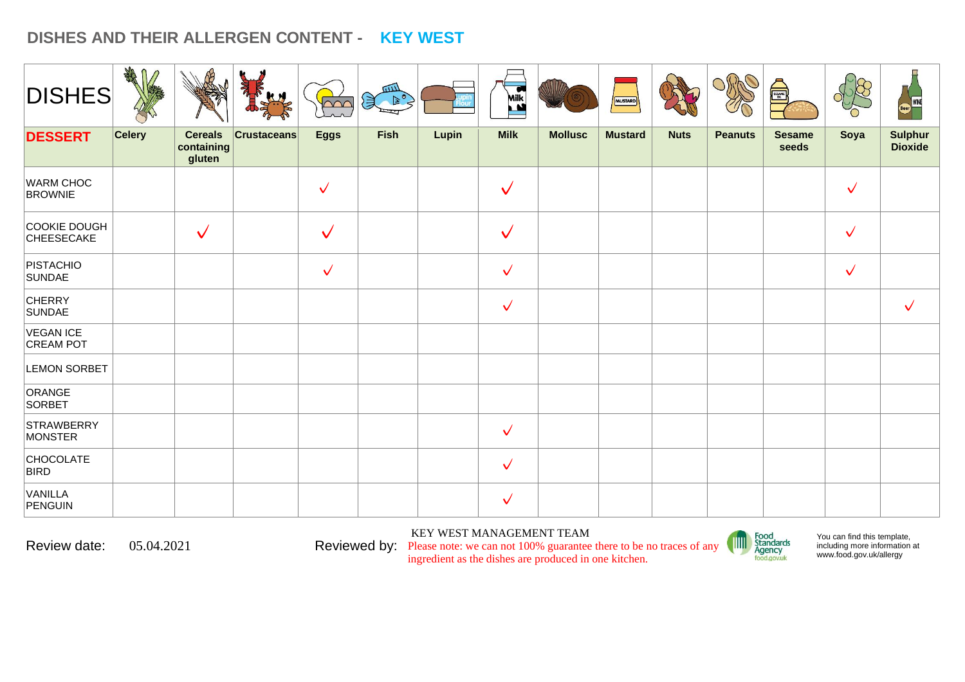# **DISHES AND THEIR ALLERGEN CONTENT - KEY WEST**

| <b>DISHES</b>                      | <b>SHARE</b><br>$\mathbf{u}$ |                                        | <b>Aldr</b><br>JE  | $\sim$       | للللا<br>さき美 |       | Milk         |                | MUSTARD        |             |                | Å                      |              | WINE<br><b>Beer</b>              |
|------------------------------------|------------------------------|----------------------------------------|--------------------|--------------|--------------|-------|--------------|----------------|----------------|-------------|----------------|------------------------|--------------|----------------------------------|
| <b>DESSERT</b>                     | <b>Celery</b>                | <b>Cereals</b><br>containing<br>gluten | <b>Crustaceans</b> | <b>Eggs</b>  | <b>Fish</b>  | Lupin | <b>Milk</b>  | <b>Mollusc</b> | <b>Mustard</b> | <b>Nuts</b> | <b>Peanuts</b> | <b>Sesame</b><br>seeds | Soya         | <b>Sulphur</b><br><b>Dioxide</b> |
| <b>WARM CHOC</b><br><b>BROWNIE</b> |                              |                                        |                    | $\checkmark$ |              |       | $\checkmark$ |                |                |             |                |                        | $\checkmark$ |                                  |
| COOKIE DOUGH<br>CHEESECAKE         |                              | $\checkmark$                           |                    | $\checkmark$ |              |       | $\checkmark$ |                |                |             |                |                        | $\checkmark$ |                                  |
| PISTACHIO<br>SUNDAE                |                              |                                        |                    | $\checkmark$ |              |       | $\checkmark$ |                |                |             |                |                        | $\checkmark$ |                                  |
| <b>CHERRY</b><br>SUNDAE            |                              |                                        |                    |              |              |       | $\checkmark$ |                |                |             |                |                        |              | $\checkmark$                     |
| VEGAN ICE<br>CREAM POT             |                              |                                        |                    |              |              |       |              |                |                |             |                |                        |              |                                  |
| <b>LEMON SORBET</b>                |                              |                                        |                    |              |              |       |              |                |                |             |                |                        |              |                                  |
| ORANGE<br>SORBET                   |                              |                                        |                    |              |              |       |              |                |                |             |                |                        |              |                                  |
| STRAWBERRY<br>MONSTER              |                              |                                        |                    |              |              |       | $\checkmark$ |                |                |             |                |                        |              |                                  |
| <b>CHOCOLATE</b><br><b>BIRD</b>    |                              |                                        |                    |              |              |       | $\checkmark$ |                |                |             |                |                        |              |                                  |
| VANILLA<br>PENGUIN                 |                              |                                        |                    |              |              |       | $\checkmark$ |                |                |             |                |                        |              |                                  |

KEY WEST MANAGEMENT TEAM





You can find this template, including more information [at](http://www.food.gov.uk/allergy)  [www.food.gov.uk/allergy](http://www.food.gov.uk/allergy)